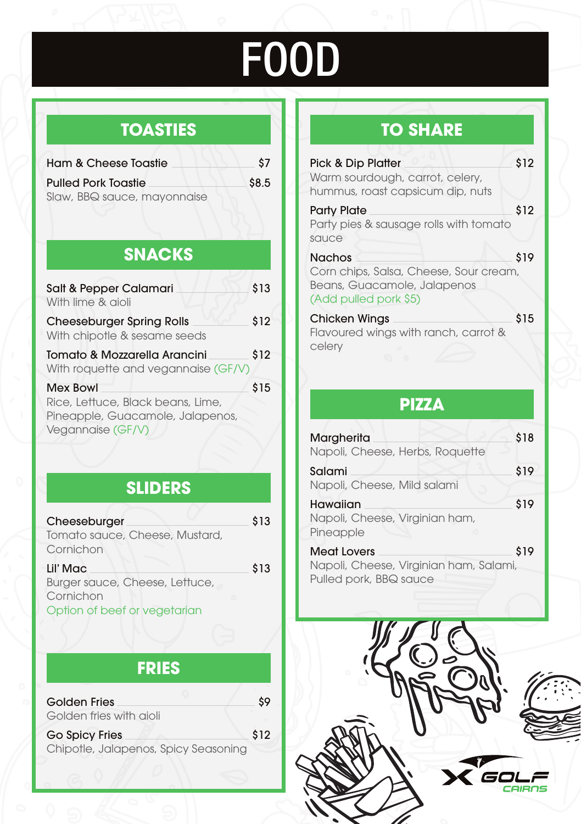# FOOD

# **TOASTIES**

| Ham & Cheese Toastie        | Ś7    |
|-----------------------------|-------|
| <b>Pulled Pork Toastie</b>  | \$8.5 |
| Slaw, BBQ sauce, mayonnaise |       |
|                             |       |

# **SNACKS**

| Salt & Pepper Calamari<br>With lime & aioli                                                            | \$13 |
|--------------------------------------------------------------------------------------------------------|------|
| <b>Cheeseburger Spring Rolls</b><br>With chipotle & sesame seeds                                       | \$12 |
| Tomato & Mozzarella Arancini<br>With roquette and vegannaise (GF/V)                                    | \$12 |
| Mex Bowl<br>Rice, Lettuce, Black beans, Lime,<br>Pineapple, Guacamole, Jalapenos,<br>Vegannaise (GF/V) | \$15 |

## **SLIDERS**

| Cheeseburger<br>Tomato sauce, Cheese, Mustard,<br>Cornichon                             | \$13 |
|-----------------------------------------------------------------------------------------|------|
| Lil' Mac<br>Burger sauce, Cheese, Lettuce,<br>Cornichon<br>Option of beef or vegetarian | \$13 |

# **FRIES**

| Golden Fries<br>Golden fries with aioli                       | \$9  |
|---------------------------------------------------------------|------|
| <b>Go Spicy Fries</b><br>Chipotle, Jalapenos, Spicy Seasoning | \$12 |

# **TO SHARE**

| Pick & Dip Platter<br>Warm sourdough, carrot, celery,<br>hummus, roast capsicum dip, nuts                       | \$12 |
|-----------------------------------------------------------------------------------------------------------------|------|
| <b>Party Plate</b><br>Party pies & sausage rolls with tomato<br>sauce                                           | \$12 |
| <b>Nachos</b><br>Corn chips, Salsa, Cheese, Sour cream,<br>Beans, Guacamole, Jalapenos<br>(Add pulled pork \$5) | \$19 |
| <b>Chicken Wings</b><br>Flavoured wings with ranch, carrot &<br>celerv                                          | \$15 |

### **PIZZA**

| Margherita<br>Napoli, Cheese, Herbs, Roquette                | \$18 |
|--------------------------------------------------------------|------|
| Salami<br>Napoli, Cheese, Mild salami                        | \$19 |
| Hawaiian<br>Napoli, Cheese, Virginian ham,<br>Pineapple      | \$19 |
| <b>Meat Lovers</b><br>Napoli, Cheese, Virginian ham, Salami, | \$19 |
| Pulled pork, BBQ sauce                                       |      |